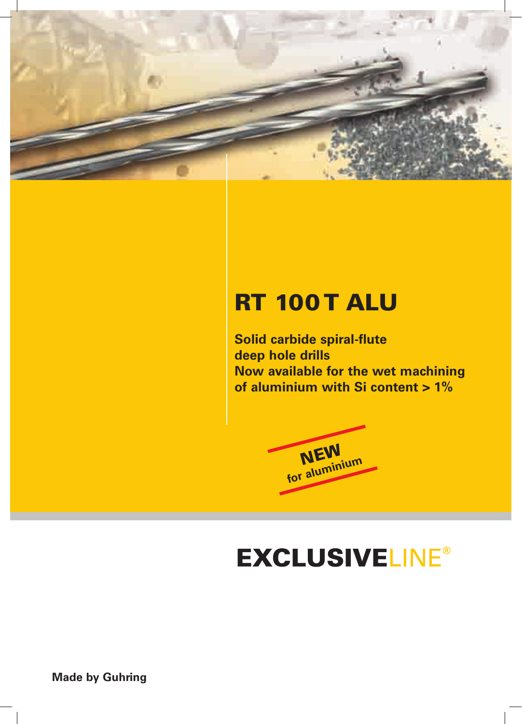

## **RT 100 T ALU**

**Solid carbide spiral-flute deep hole drills Now available for the wet machining of aluminium with Si content > 1%**



# **EXCLUSIVELINE®**

**Made by Guhring**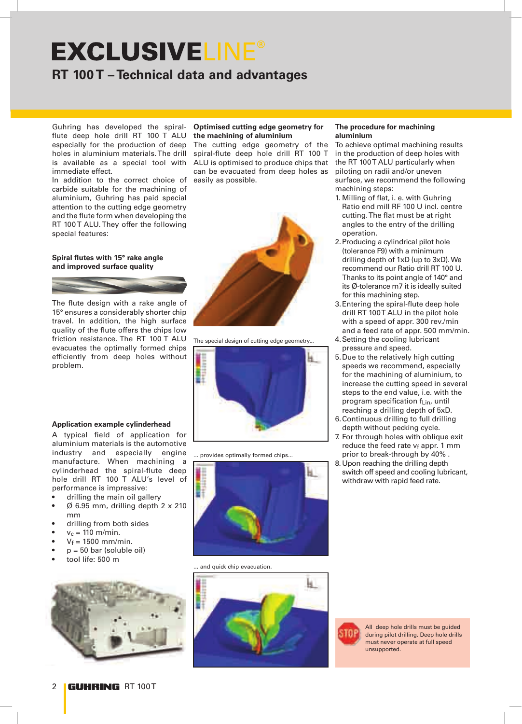## **EXCLUSIVELINE® RT 100 T – Technical data and advantages**

Guhring has developed the spiralflute deep hole drill RT 100 T ALU especially for the production of deep holes in aluminium materials. The drill is available as a special tool with immediate effect.

In addition to the correct choice of carbide suitable for the machining of aluminium, Guhring has paid special attention to the cutting edge geometry and the flute form when developing the RT 100 T ALU. They offer the following special features:

#### **Spiral flutes with 15° rake angle and improved surface quality**



The flute design with a rake angle of 15° ensures a considerably shorter chip travel. In addition, the high surface quality of the flute offers the chips low friction resistance. The RT 100 T ALU evacuates the optimally formed chips efficiently from deep holes without problem.

### **Optimised cutting edge geometry for the machining of aluminium**

The cutting edge geometry of the spiral-flute deep hole drill RT 100 T ALU is optimised to produce chips that can be evacuated from deep holes as easily as possible.



The special design of cutting edge geometry...



... provides optimally formed chips...



and quick chip evacuation.



#### **The procedure for machining aluminium**

To achieve optimal machining results in the production of deep holes with the RT 100T ALU particularly when piloting on radii and/or uneven surface, we recommend the following machining steps:

- 1. Milling of flat, i. e. with Guhring Ratio end mill RF 100 U incl. centre cutting. The flat must be at right angles to the entry of the drilling operation.
- 2.Producing a cylindrical pilot hole (tolerance F9) with a minimum drilling depth of 1xD (up to 3xD). We recommend our Ratio drill RT 100 U. Thanks to its point angle of 140° and its Ø-tolerance m7 it is ideally suited for this machining step.
- 3.Entering the spiral-flute deep hole drill RT 100T ALU in the pilot hole with a speed of appr. 300 rev./min and a feed rate of appr. 500 mm/min.
- 4.Setting the cooling lubricant pressure and speed.
- 5.Due to the relatively high cutting speeds we recommend, especially for the machining of aluminium, to increase the cutting speed in several steps to the end value, i.e. with the program specification f<sub>Lin</sub>, until reaching a drilling depth of 5xD.
- 6.Continuous drilling to full drilling depth without pecking cycle.
- 7. For through holes with oblique exit reduce the feed rate vf appr. 1 mm prior to break-through by 40% .
- 8.Upon reaching the drilling depth switch off speed and cooling lubricant, withdraw with rapid feed rate.





A typical field of application for aluminium materials is the automotive industry and especially engine manufacture. When machining a cylinderhead the spiral-flute deep hole drill RT 100 T ALU's level of performance is impressive:

- drilling the main oil gallery
- $\varnothing$  6.95 mm, drilling depth 2 x 210 mm
- drilling from both sides
- $v_c = 110$  m/min.
- $V_f = 1500$  mm/min.
- $p = 50$  bar (soluble oil)
- tool life: 500 m

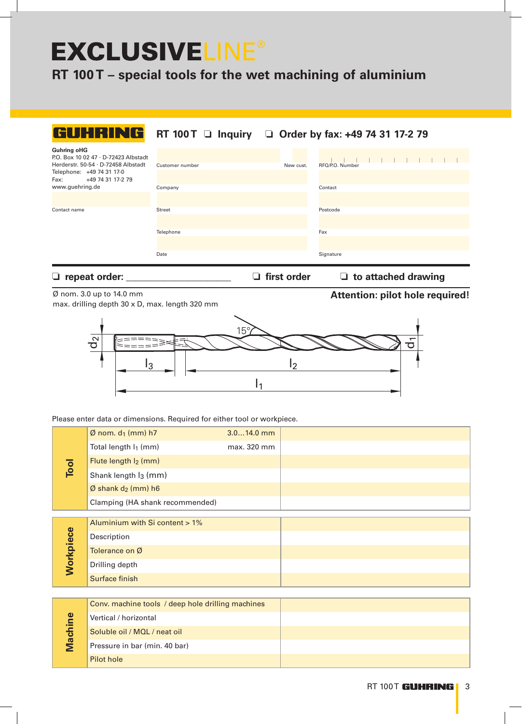## **EXCLUSIVELINE®**

**RT 100 T – special tools for the wet machining of aluminium**

| GUHRING                                                                                                                                                     |                 |           | RT 100 T □ Inquiry □ Order by fax: +49 74 31 17-2 79 |
|-------------------------------------------------------------------------------------------------------------------------------------------------------------|-----------------|-----------|------------------------------------------------------|
| <b>Guhring oHG</b><br>P.O. Box 10 02 47 · D-72423 Albstadt<br>Herderstr. 50-54 · D-72458 Albstadt<br>Telephone: +49 74 31 17-0<br>Fax:<br>+49 74 31 17-2 79 | Customer number | New cust. | RFQ/P.O. Number                                      |
| www.guehring.de                                                                                                                                             | Company         |           | Contact                                              |
| Contact name                                                                                                                                                | Street          |           | Postcode                                             |
|                                                                                                                                                             | Telephone       |           | Fax                                                  |
|                                                                                                                                                             | Date            |           | Signature                                            |

❏ **repeat order: \_\_\_\_\_\_\_\_\_\_\_\_\_\_\_\_\_\_\_\_\_\_** ❏ **first order** ❏ **to attached drawing**

**Attention: pilot hole required!**

## Ø nom. 3.0 up to 14.0 mm max. drilling depth 30 x D, max. length 320 mm



Please enter data or dimensions. Required for either tool or workpiece.

Pilot hole

| Tool      | $\emptyset$ nom. d <sub>1</sub> (mm) h7           | $3.014.0$ mm |  |
|-----------|---------------------------------------------------|--------------|--|
|           | Total length I <sub>1</sub> (mm)                  | max. 320 mm  |  |
|           | Flute length I <sub>2</sub> (mm)                  |              |  |
|           | Shank length I <sub>3</sub> (mm)                  |              |  |
|           | $\emptyset$ shank d <sub>2</sub> (mm) h6          |              |  |
|           | Clamping (HA shank recommended)                   |              |  |
|           |                                                   |              |  |
|           | Aluminium with Si content > 1%                    |              |  |
|           | Description                                       |              |  |
|           | Tolerance on Ø                                    |              |  |
| Workpiece | Drilling depth                                    |              |  |
|           | Surface finish                                    |              |  |
|           |                                                   |              |  |
| Machine   | Conv. machine tools / deep hole drilling machines |              |  |
|           | Vertical / horizontal                             |              |  |
|           | Soluble oil / MQL / neat oil                      |              |  |
|           | Pressure in bar (min. 40 bar)                     |              |  |